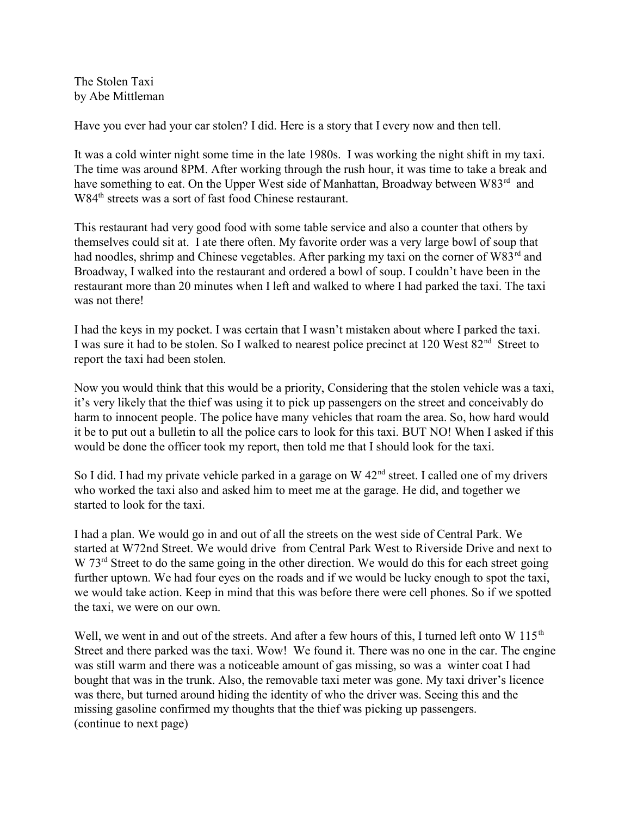The Stolen Taxi by Abe Mittleman

Have you ever had your car stolen? I did. Here is a story that I every now and then tell.

It was a cold winter night some time in the late 1980s. I was working the night shift in my taxi. The time was around 8PM. After working through the rush hour, it was time to take a break and have something to eat. On the Upper West side of Manhattan, Broadway between W83<sup>rd</sup> and W84<sup>th</sup> streets was a sort of fast food Chinese restaurant.

This restaurant had very good food with some table service and also a counter that others by themselves could sit at. I ate there often. My favorite order was a very large bowl of soup that had noodles, shrimp and Chinese vegetables. After parking my taxi on the corner of W83<sup>rd</sup> and Broadway, I walked into the restaurant and ordered a bowl of soup. I couldn't have been in the restaurant more than 20 minutes when I left and walked to where I had parked the taxi. The taxi was not there!

I had the keys in my pocket. I was certain that I wasn't mistaken about where I parked the taxi. I was sure it had to be stolen. So I walked to nearest police precinct at 120 West 82<sup>nd</sup> Street to report the taxi had been stolen.

Now you would think that this would be a priority, Considering that the stolen vehicle was a taxi, it's very likely that the thief was using it to pick up passengers on the street and conceivably do harm to innocent people. The police have many vehicles that roam the area. So, how hard would it be to put out a bulletin to all the police cars to look for this taxi. BUT NO! When I asked if this would be done the officer took my report, then told me that I should look for the taxi.

So I did. I had my private vehicle parked in a garage on  $W 42<sup>nd</sup>$  street. I called one of my drivers who worked the taxi also and asked him to meet me at the garage. He did, and together we started to look for the taxi.

I had a plan. We would go in and out of all the streets on the west side of Central Park. We started at W72nd Street. We would drive from Central Park West to Riverside Drive and next to W 73<sup>rd</sup> Street to do the same going in the other direction. We would do this for each street going further uptown. We had four eyes on the roads and if we would be lucky enough to spot the taxi, we would take action. Keep in mind that this was before there were cell phones. So if we spotted the taxi, we were on our own.

Well, we went in and out of the streets. And after a few hours of this, I turned left onto W 115<sup>th</sup> Street and there parked was the taxi. Wow! We found it. There was no one in the car. The engine was still warm and there was a noticeable amount of gas missing, so was a winter coat I had bought that was in the trunk. Also, the removable taxi meter was gone. My taxi driver's licence was there, but turned around hiding the identity of who the driver was. Seeing this and the missing gasoline confirmed my thoughts that the thief was picking up passengers. (continue to next page)